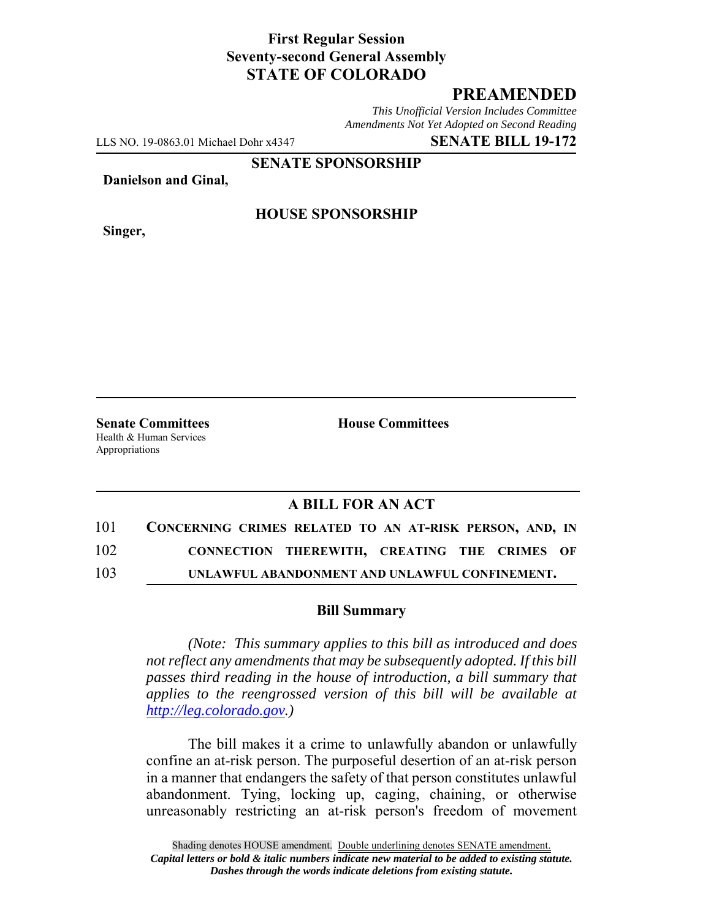## **First Regular Session Seventy-second General Assembly STATE OF COLORADO**

# **PREAMENDED**

*This Unofficial Version Includes Committee Amendments Not Yet Adopted on Second Reading*

LLS NO. 19-0863.01 Michael Dohr x4347 **SENATE BILL 19-172**

**SENATE SPONSORSHIP**

**Danielson and Ginal,**

**Singer,**

### **HOUSE SPONSORSHIP**

**Senate Committees House Committees** Health & Human Services Appropriations

### **A BILL FOR AN ACT**

| 101 | CONCERNING CRIMES RELATED TO AN AT-RISK PERSON, AND, IN |
|-----|---------------------------------------------------------|
| 102 | CONNECTION THEREWITH, CREATING THE CRIMES OF            |
| 103 | UNLAWFUL ABANDONMENT AND UNLAWFUL CONFINEMENT.          |

#### **Bill Summary**

*(Note: This summary applies to this bill as introduced and does not reflect any amendments that may be subsequently adopted. If this bill passes third reading in the house of introduction, a bill summary that applies to the reengrossed version of this bill will be available at http://leg.colorado.gov.)*

The bill makes it a crime to unlawfully abandon or unlawfully confine an at-risk person. The purposeful desertion of an at-risk person in a manner that endangers the safety of that person constitutes unlawful abandonment. Tying, locking up, caging, chaining, or otherwise unreasonably restricting an at-risk person's freedom of movement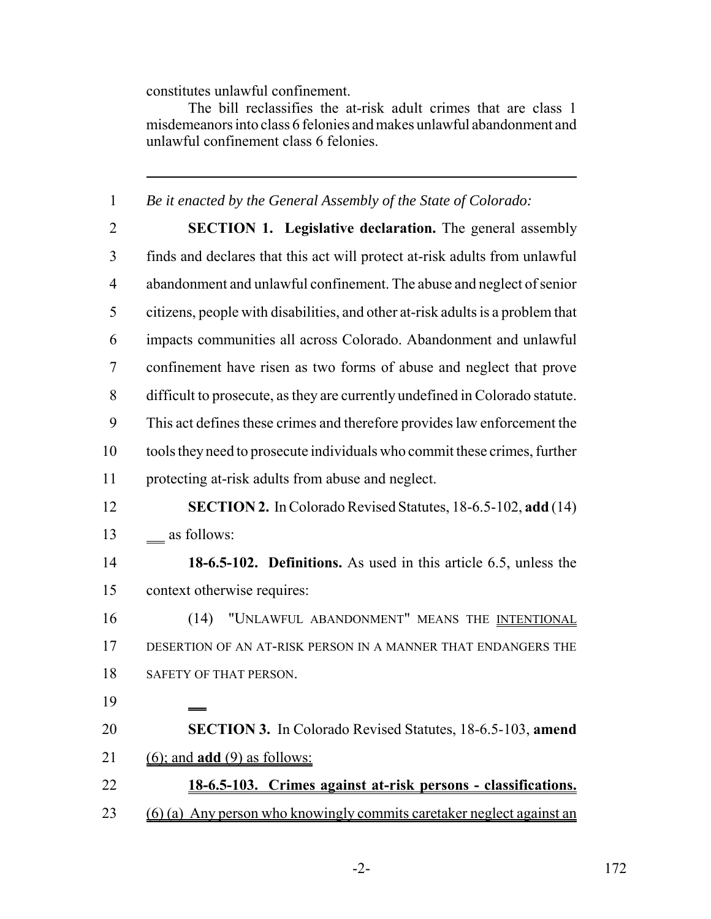constitutes unlawful confinement.

The bill reclassifies the at-risk adult crimes that are class 1 misdemeanors into class 6 felonies and makes unlawful abandonment and unlawful confinement class 6 felonies.

*Be it enacted by the General Assembly of the State of Colorado:*

- **SECTION 1. Legislative declaration.** The general assembly finds and declares that this act will protect at-risk adults from unlawful abandonment and unlawful confinement. The abuse and neglect of senior citizens, people with disabilities, and other at-risk adults is a problem that impacts communities all across Colorado. Abandonment and unlawful confinement have risen as two forms of abuse and neglect that prove difficult to prosecute, as they are currently undefined in Colorado statute. This act defines these crimes and therefore provides law enforcement the tools they need to prosecute individuals who commit these crimes, further protecting at-risk adults from abuse and neglect.
- **SECTION 2.** In Colorado Revised Statutes, 18-6.5-102, **add** (14) 13 as follows:
- **18-6.5-102. Definitions.** As used in this article 6.5, unless the context otherwise requires:
- (14) "UNLAWFUL ABANDONMENT" MEANS THE INTENTIONAL DESERTION OF AN AT-RISK PERSON IN A MANNER THAT ENDANGERS THE 18 SAFETY OF THAT PERSON.
- 
- **SECTION 3.** In Colorado Revised Statutes, 18-6.5-103, **amend** (6); and **add** (9) as follows:
- **18-6.5-103. Crimes against at-risk persons classifications.** (6) (a) Any person who knowingly commits caretaker neglect against an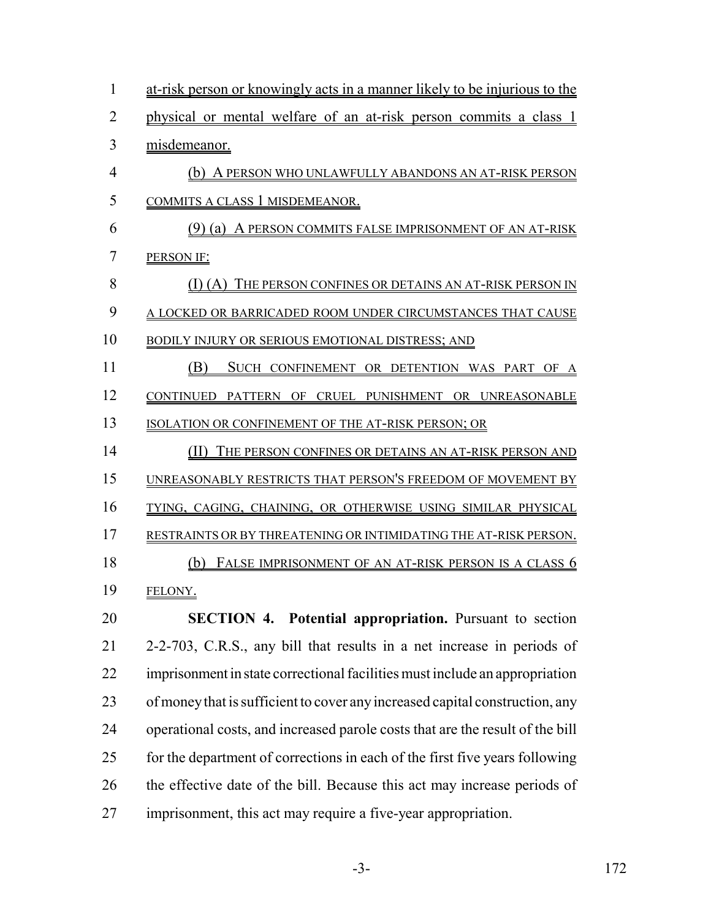| $\mathbf{1}$   | <u>at-risk person or knowingly acts in a manner likely to be injurious to the</u> |
|----------------|-----------------------------------------------------------------------------------|
| $\overline{2}$ | physical or mental welfare of an at-risk person commits a class 1                 |
| 3              | misdemeanor.                                                                      |
| $\overline{4}$ | (b) A PERSON WHO UNLAWFULLY ABANDONS AN AT-RISK PERSON                            |
| 5              | COMMITS A CLASS 1 MISDEMEANOR.                                                    |
| 6              | (9) (a) A PERSON COMMITS FALSE IMPRISONMENT OF AN AT-RISK                         |
| 7              | PERSON IF:                                                                        |
| 8              | (I) (A) THE PERSON CONFINES OR DETAINS AN AT-RISK PERSON IN                       |
| 9              | A LOCKED OR BARRICADED ROOM UNDER CIRCUMSTANCES THAT CAUSE                        |
| 10             | BODILY INJURY OR SERIOUS EMOTIONAL DISTRESS; AND                                  |
| 11             | (B)<br>SUCH CONFINEMENT OR DETENTION WAS PART OF A                                |
| 12             | CONTINUED PATTERN OF CRUEL PUNISHMENT OR UNREASONABLE                             |
| 13             | ISOLATION OR CONFINEMENT OF THE AT-RISK PERSON; OR                                |
| 14             | (II) THE PERSON CONFINES OR DETAINS AN AT-RISK PERSON AND                         |
| 15             | UNREASONABLY RESTRICTS THAT PERSON'S FREEDOM OF MOVEMENT BY                       |
| 16             | TYING, CAGING, CHAINING, OR OTHERWISE USING SIMILAR PHYSICAL                      |
| 17             | RESTRAINTS OR BY THREATENING OR INTIMIDATING THE AT-RISK PERSON.                  |
| 18             | FALSE IMPRISONMENT OF AN AT-RISK PERSON IS A CLASS 6<br>(b)                       |
| 19             | FELONY.                                                                           |
| 20             | <b>SECTION 4. Potential appropriation.</b> Pursuant to section                    |
| 21             | 2-2-703, C.R.S., any bill that results in a net increase in periods of            |
| 22             | imprisonment in state correctional facilities must include an appropriation       |
| 23             | of money that is sufficient to cover any increased capital construction, any      |
| 24             | operational costs, and increased parole costs that are the result of the bill     |
| 25             | for the department of corrections in each of the first five years following       |
| 26             | the effective date of the bill. Because this act may increase periods of          |
| 27             | imprisonment, this act may require a five-year appropriation.                     |